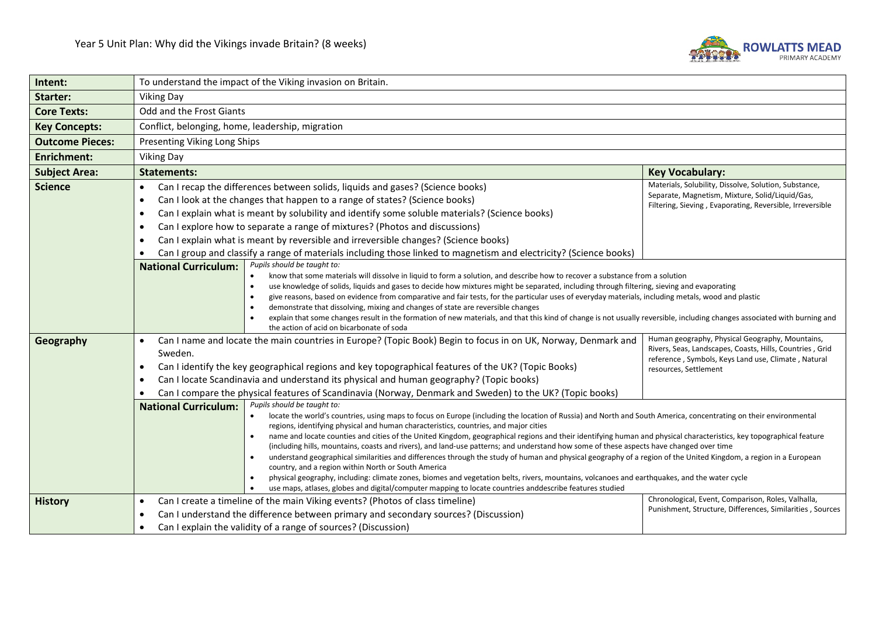

| Intent:                | To understand the impact of the Viking invasion on Britain.                                                                                                                                                                                                                                                                                                                                                                                                                                                                                                                                                                                                                                                                                                                                                                                                                                                                                                                                                                                                                                                                                                           |                                                                                                                                                                                             |  |  |  |
|------------------------|-----------------------------------------------------------------------------------------------------------------------------------------------------------------------------------------------------------------------------------------------------------------------------------------------------------------------------------------------------------------------------------------------------------------------------------------------------------------------------------------------------------------------------------------------------------------------------------------------------------------------------------------------------------------------------------------------------------------------------------------------------------------------------------------------------------------------------------------------------------------------------------------------------------------------------------------------------------------------------------------------------------------------------------------------------------------------------------------------------------------------------------------------------------------------|---------------------------------------------------------------------------------------------------------------------------------------------------------------------------------------------|--|--|--|
| Starter:               | <b>Viking Day</b>                                                                                                                                                                                                                                                                                                                                                                                                                                                                                                                                                                                                                                                                                                                                                                                                                                                                                                                                                                                                                                                                                                                                                     |                                                                                                                                                                                             |  |  |  |
| <b>Core Texts:</b>     | Odd and the Frost Giants                                                                                                                                                                                                                                                                                                                                                                                                                                                                                                                                                                                                                                                                                                                                                                                                                                                                                                                                                                                                                                                                                                                                              |                                                                                                                                                                                             |  |  |  |
| <b>Key Concepts:</b>   | Conflict, belonging, home, leadership, migration                                                                                                                                                                                                                                                                                                                                                                                                                                                                                                                                                                                                                                                                                                                                                                                                                                                                                                                                                                                                                                                                                                                      |                                                                                                                                                                                             |  |  |  |
| <b>Outcome Pieces:</b> | Presenting Viking Long Ships                                                                                                                                                                                                                                                                                                                                                                                                                                                                                                                                                                                                                                                                                                                                                                                                                                                                                                                                                                                                                                                                                                                                          |                                                                                                                                                                                             |  |  |  |
| <b>Enrichment:</b>     | <b>Viking Day</b>                                                                                                                                                                                                                                                                                                                                                                                                                                                                                                                                                                                                                                                                                                                                                                                                                                                                                                                                                                                                                                                                                                                                                     |                                                                                                                                                                                             |  |  |  |
| <b>Subject Area:</b>   | <b>Statements:</b><br><b>Key Vocabulary:</b>                                                                                                                                                                                                                                                                                                                                                                                                                                                                                                                                                                                                                                                                                                                                                                                                                                                                                                                                                                                                                                                                                                                          |                                                                                                                                                                                             |  |  |  |
| <b>Science</b>         | Can I recap the differences between solids, liquids and gases? (Science books)<br>$\bullet$<br>Can I look at the changes that happen to a range of states? (Science books)<br>$\bullet$<br>Can I explain what is meant by solubility and identify some soluble materials? (Science books)<br>$\bullet$<br>Can I explore how to separate a range of mixtures? (Photos and discussions)<br>$\bullet$<br>Can I explain what is meant by reversible and irreversible changes? (Science books)<br>$\bullet$<br>Can I group and classify a range of materials including those linked to magnetism and electricity? (Science books)<br>$\bullet$<br>Pupils should be taught to:<br><b>National Curriculum:</b>                                                                                                                                                                                                                                                                                                                                                                                                                                                               | Materials, Solubility, Dissolve, Solution, Substance,<br>Separate, Magnetism, Mixture, Solid/Liquid/Gas,<br>Filtering, Sieving, Evaporating, Reversible, Irreversible                       |  |  |  |
|                        | know that some materials will dissolve in liquid to form a solution, and describe how to recover a substance from a solution<br>use knowledge of solids, liquids and gases to decide how mixtures might be separated, including through filtering, sieving and evaporating<br>$\bullet$<br>give reasons, based on evidence from comparative and fair tests, for the particular uses of everyday materials, including metals, wood and plastic<br>$\bullet$<br>demonstrate that dissolving, mixing and changes of state are reversible changes<br>explain that some changes result in the formation of new materials, and that this kind of change is not usually reversible, including changes associated with burning and<br>$\bullet$<br>the action of acid on bicarbonate of soda                                                                                                                                                                                                                                                                                                                                                                                  |                                                                                                                                                                                             |  |  |  |
| Geography              | Can I name and locate the main countries in Europe? (Topic Book) Begin to focus in on UK, Norway, Denmark and<br>$\bullet$<br>Sweden.<br>Can I identify the key geographical regions and key topographical features of the UK? (Topic Books)<br>$\bullet$<br>Can I locate Scandinavia and understand its physical and human geography? (Topic books)<br>$\bullet$<br>Can I compare the physical features of Scandinavia (Norway, Denmark and Sweden) to the UK? (Topic books)                                                                                                                                                                                                                                                                                                                                                                                                                                                                                                                                                                                                                                                                                         | Human geography, Physical Geography, Mountains,<br>Rivers, Seas, Landscapes, Coasts, Hills, Countries, Grid<br>reference, Symbols, Keys Land use, Climate, Natural<br>resources, Settlement |  |  |  |
|                        | Pupils should be taught to:<br><b>National Curriculum:</b><br>locate the world's countries, using maps to focus on Europe (including the location of Russia) and North and South America, concentrating on their environmental<br>regions, identifying physical and human characteristics, countries, and major cities<br>name and locate counties and cities of the United Kingdom, geographical regions and their identifying human and physical characteristics, key topographical feature<br>$\bullet$<br>(including hills, mountains, coasts and rivers), and land-use patterns; and understand how some of these aspects have changed over time<br>understand geographical similarities and differences through the study of human and physical geography of a region of the United Kingdom, a region in a European<br>country, and a region within North or South America<br>physical geography, including: climate zones, biomes and vegetation belts, rivers, mountains, volcanoes and earthquakes, and the water cycle<br>$\bullet$<br>use maps, atlases, globes and digital/computer mapping to locate countries anddescribe features studied<br>$\bullet$ |                                                                                                                                                                                             |  |  |  |
| <b>History</b>         | Chronological, Event, Comparison, Roles, Valhalla,<br>Can I create a timeline of the main Viking events? (Photos of class timeline)<br>$\bullet$<br>Punishment, Structure, Differences, Similarities, Sources<br>Can I understand the difference between primary and secondary sources? (Discussion)<br>$\bullet$<br>Can I explain the validity of a range of sources? (Discussion)<br>$\bullet$                                                                                                                                                                                                                                                                                                                                                                                                                                                                                                                                                                                                                                                                                                                                                                      |                                                                                                                                                                                             |  |  |  |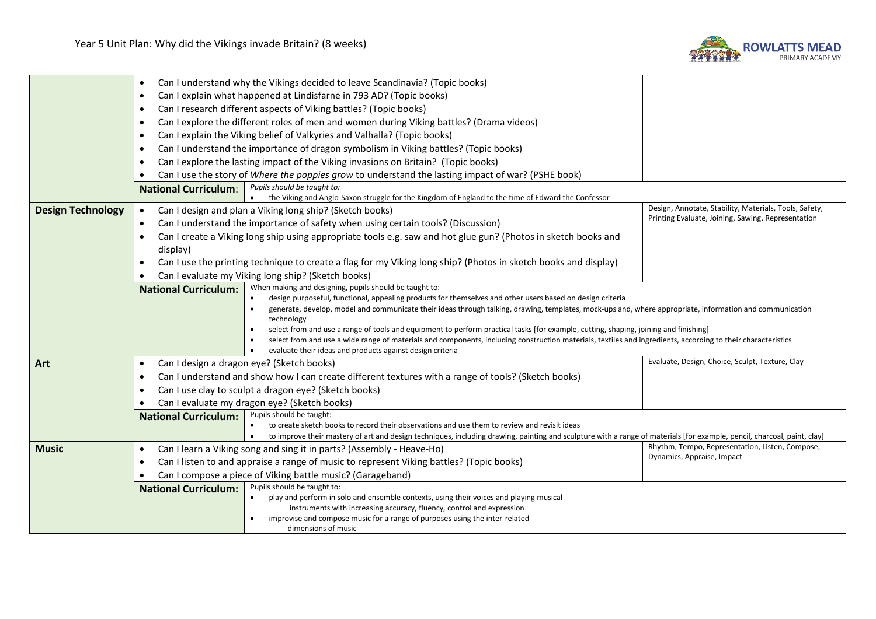

|                          | Can I understand why the Vikings decided to leave Scandinavia? (Topic books)<br>$\bullet$                                                                                                                       |                                                                                                                                                                                                                                                                         |                                                        |  |  |
|--------------------------|-----------------------------------------------------------------------------------------------------------------------------------------------------------------------------------------------------------------|-------------------------------------------------------------------------------------------------------------------------------------------------------------------------------------------------------------------------------------------------------------------------|--------------------------------------------------------|--|--|
|                          | Can I explain what happened at Lindisfarne in 793 AD? (Topic books)<br>$\bullet$                                                                                                                                |                                                                                                                                                                                                                                                                         |                                                        |  |  |
|                          | Can I research different aspects of Viking battles? (Topic books)<br>٠                                                                                                                                          |                                                                                                                                                                                                                                                                         |                                                        |  |  |
|                          | Can I explore the different roles of men and women during Viking battles? (Drama videos)<br>٠                                                                                                                   |                                                                                                                                                                                                                                                                         |                                                        |  |  |
|                          | ٠                                                                                                                                                                                                               | Can I explain the Viking belief of Valkyries and Valhalla? (Topic books)                                                                                                                                                                                                |                                                        |  |  |
|                          | ٠                                                                                                                                                                                                               | Can I understand the importance of dragon symbolism in Viking battles? (Topic books)                                                                                                                                                                                    |                                                        |  |  |
|                          | Can I explore the lasting impact of the Viking invasions on Britain? (Topic books)<br>$\bullet$                                                                                                                 |                                                                                                                                                                                                                                                                         |                                                        |  |  |
|                          | Can I use the story of Where the poppies grow to understand the lasting impact of war? (PSHE book)                                                                                                              |                                                                                                                                                                                                                                                                         |                                                        |  |  |
|                          | Pupils should be taught to:<br><b>National Curriculum:</b>                                                                                                                                                      |                                                                                                                                                                                                                                                                         |                                                        |  |  |
|                          |                                                                                                                                                                                                                 | the Viking and Anglo-Saxon struggle for the Kingdom of England to the time of Edward the Confessor<br>$\bullet$                                                                                                                                                         |                                                        |  |  |
| <b>Design Technology</b> | $\bullet$                                                                                                                                                                                                       | Can I design and plan a Viking long ship? (Sketch books)                                                                                                                                                                                                                | Design, Annotate, Stability, Materials, Tools, Safety, |  |  |
|                          | $\bullet$                                                                                                                                                                                                       | Can I understand the importance of safety when using certain tools? (Discussion)                                                                                                                                                                                        | Printing Evaluate, Joining, Sawing, Representation     |  |  |
|                          | $\bullet$                                                                                                                                                                                                       | Can I create a Viking long ship using appropriate tools e.g. saw and hot glue gun? (Photos in sketch books and                                                                                                                                                          |                                                        |  |  |
|                          | display)                                                                                                                                                                                                        |                                                                                                                                                                                                                                                                         |                                                        |  |  |
|                          | Can I use the printing technique to create a flag for my Viking long ship? (Photos in sketch books and display)                                                                                                 |                                                                                                                                                                                                                                                                         |                                                        |  |  |
|                          | Can I evaluate my Viking long ship? (Sketch books)                                                                                                                                                              |                                                                                                                                                                                                                                                                         |                                                        |  |  |
|                          | When making and designing, pupils should be taught to:<br><b>National Curriculum:</b><br>design purposeful, functional, appealing products for themselves and other users based on design criteria<br>$\bullet$ |                                                                                                                                                                                                                                                                         |                                                        |  |  |
|                          |                                                                                                                                                                                                                 |                                                                                                                                                                                                                                                                         |                                                        |  |  |
|                          | generate, develop, model and communicate their ideas through talking, drawing, templates, mock-ups and, where appropriate, information and communication<br>$\bullet$<br>technology                             |                                                                                                                                                                                                                                                                         |                                                        |  |  |
|                          | select from and use a range of tools and equipment to perform practical tasks [for example, cutting, shaping, joining and finishing]                                                                            |                                                                                                                                                                                                                                                                         |                                                        |  |  |
|                          | select from and use a wide range of materials and components, including construction materials, textiles and ingredients, according to their characteristics<br>$\bullet$                                       |                                                                                                                                                                                                                                                                         |                                                        |  |  |
|                          |                                                                                                                                                                                                                 | evaluate their ideas and products against design criteria                                                                                                                                                                                                               |                                                        |  |  |
| Art                      | $\bullet$                                                                                                                                                                                                       | Can I design a dragon eye? (Sketch books)                                                                                                                                                                                                                               | Evaluate, Design, Choice, Sculpt, Texture, Clay        |  |  |
|                          | ٠                                                                                                                                                                                                               | Can I understand and show how I can create different textures with a range of tools? (Sketch books)                                                                                                                                                                     |                                                        |  |  |
|                          | Can I use clay to sculpt a dragon eye? (Sketch books)<br>$\bullet$<br>Can I evaluate my dragon eye? (Sketch books)                                                                                              |                                                                                                                                                                                                                                                                         |                                                        |  |  |
|                          |                                                                                                                                                                                                                 |                                                                                                                                                                                                                                                                         |                                                        |  |  |
|                          | <b>National Curriculum:</b>                                                                                                                                                                                     | Pupils should be taught:                                                                                                                                                                                                                                                |                                                        |  |  |
|                          |                                                                                                                                                                                                                 | to create sketch books to record their observations and use them to review and revisit ideas<br>to improve their mastery of art and design techniques, including drawing, painting and sculpture with a range of materials [for example, pencil, charcoal, paint, clay] |                                                        |  |  |
| <b>Music</b>             | $\bullet$                                                                                                                                                                                                       | Can I learn a Viking song and sing it in parts? (Assembly - Heave-Ho)                                                                                                                                                                                                   | Rhythm, Tempo, Representation, Listen, Compose,        |  |  |
|                          | Dynamics, Appraise, Impact                                                                                                                                                                                      |                                                                                                                                                                                                                                                                         |                                                        |  |  |
|                          | Can I listen to and appraise a range of music to represent Viking battles? (Topic books)<br>٠                                                                                                                   |                                                                                                                                                                                                                                                                         |                                                        |  |  |
|                          | Can I compose a piece of Viking battle music? (Garageband)<br>Pupils should be taught to:                                                                                                                       |                                                                                                                                                                                                                                                                         |                                                        |  |  |
|                          | <b>National Curriculum:</b><br>play and perform in solo and ensemble contexts, using their voices and playing musical                                                                                           |                                                                                                                                                                                                                                                                         |                                                        |  |  |
|                          | instruments with increasing accuracy, fluency, control and expression                                                                                                                                           |                                                                                                                                                                                                                                                                         |                                                        |  |  |
|                          | improvise and compose music for a range of purposes using the inter-related                                                                                                                                     |                                                                                                                                                                                                                                                                         |                                                        |  |  |
|                          |                                                                                                                                                                                                                 | dimensions of music                                                                                                                                                                                                                                                     |                                                        |  |  |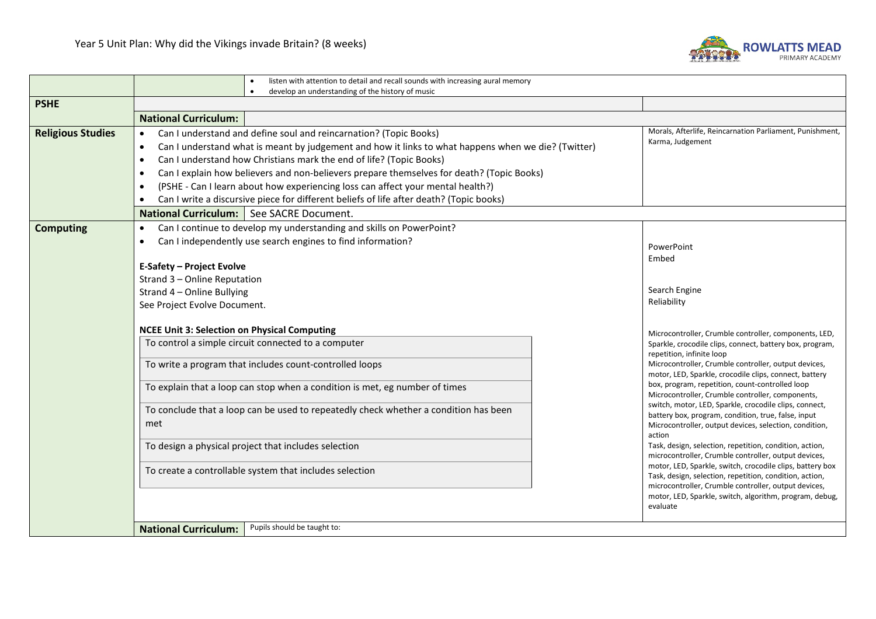

|                          | listen with attention to detail and recall sounds with increasing aural memory<br>$\bullet$<br>develop an understanding of the history of music<br>$\bullet$                                                                                                                                                                                                                                                                                                                                                                                                                                                                                                |                                                                                                                                                                                                                                                     |  |
|--------------------------|-------------------------------------------------------------------------------------------------------------------------------------------------------------------------------------------------------------------------------------------------------------------------------------------------------------------------------------------------------------------------------------------------------------------------------------------------------------------------------------------------------------------------------------------------------------------------------------------------------------------------------------------------------------|-----------------------------------------------------------------------------------------------------------------------------------------------------------------------------------------------------------------------------------------------------|--|
| <b>PSHE</b>              |                                                                                                                                                                                                                                                                                                                                                                                                                                                                                                                                                                                                                                                             |                                                                                                                                                                                                                                                     |  |
|                          | <b>National Curriculum:</b>                                                                                                                                                                                                                                                                                                                                                                                                                                                                                                                                                                                                                                 |                                                                                                                                                                                                                                                     |  |
| <b>Religious Studies</b> | Can I understand and define soul and reincarnation? (Topic Books)<br>$\bullet$<br>Can I understand what is meant by judgement and how it links to what happens when we die? (Twitter)<br>$\bullet$<br>Can I understand how Christians mark the end of life? (Topic Books)<br>$\bullet$<br>Can I explain how believers and non-believers prepare themselves for death? (Topic Books)<br>$\bullet$<br>(PSHE - Can I learn about how experiencing loss can affect your mental health?)<br>$\bullet$<br>Can I write a discursive piece for different beliefs of life after death? (Topic books)<br>$\bullet$<br><b>National Curriculum:</b> See SACRE Document. | Morals, Afterlife, Reincarnation Parliament, Punishment,<br>Karma, Judgement                                                                                                                                                                        |  |
| <b>Computing</b>         | Can I continue to develop my understanding and skills on PowerPoint?<br>$\bullet$                                                                                                                                                                                                                                                                                                                                                                                                                                                                                                                                                                           |                                                                                                                                                                                                                                                     |  |
|                          | Can I independently use search engines to find information?<br>$\bullet$                                                                                                                                                                                                                                                                                                                                                                                                                                                                                                                                                                                    | PowerPoint<br>Embed                                                                                                                                                                                                                                 |  |
|                          | Strand 3 - Online Reputation<br>Strand 4 - Online Bullying<br>See Project Evolve Document.                                                                                                                                                                                                                                                                                                                                                                                                                                                                                                                                                                  | Search Engine<br>Reliability                                                                                                                                                                                                                        |  |
|                          | <b>NCEE Unit 3: Selection on Physical Computing</b>                                                                                                                                                                                                                                                                                                                                                                                                                                                                                                                                                                                                         | Microcontroller, Crumble controller, components, LED,                                                                                                                                                                                               |  |
|                          | To control a simple circuit connected to a computer                                                                                                                                                                                                                                                                                                                                                                                                                                                                                                                                                                                                         | Sparkle, crocodile clips, connect, battery box, program,<br>repetition, infinite loop                                                                                                                                                               |  |
|                          | To write a program that includes count-controlled loops                                                                                                                                                                                                                                                                                                                                                                                                                                                                                                                                                                                                     | Microcontroller, Crumble controller, output devices,<br>motor, LED, Sparkle, crocodile clips, connect, battery                                                                                                                                      |  |
|                          | To explain that a loop can stop when a condition is met, eg number of times                                                                                                                                                                                                                                                                                                                                                                                                                                                                                                                                                                                 | box, program, repetition, count-controlled loop<br>Microcontroller, Crumble controller, components,                                                                                                                                                 |  |
|                          | To conclude that a loop can be used to repeatedly check whether a condition has been<br>met                                                                                                                                                                                                                                                                                                                                                                                                                                                                                                                                                                 | switch, motor, LED, Sparkle, crocodile clips, connect,<br>battery box, program, condition, true, false, input<br>Microcontroller, output devices, selection, condition,<br>action                                                                   |  |
|                          | To design a physical project that includes selection                                                                                                                                                                                                                                                                                                                                                                                                                                                                                                                                                                                                        | Task, design, selection, repetition, condition, action,<br>microcontroller, Crumble controller, output devices,                                                                                                                                     |  |
|                          | To create a controllable system that includes selection                                                                                                                                                                                                                                                                                                                                                                                                                                                                                                                                                                                                     | motor, LED, Sparkle, switch, crocodile clips, battery box<br>Task, design, selection, repetition, condition, action,<br>microcontroller, Crumble controller, output devices,<br>motor, LED, Sparkle, switch, algorithm, program, debug,<br>evaluate |  |
|                          | Pupils should be taught to:<br><b>National Curriculum:</b>                                                                                                                                                                                                                                                                                                                                                                                                                                                                                                                                                                                                  |                                                                                                                                                                                                                                                     |  |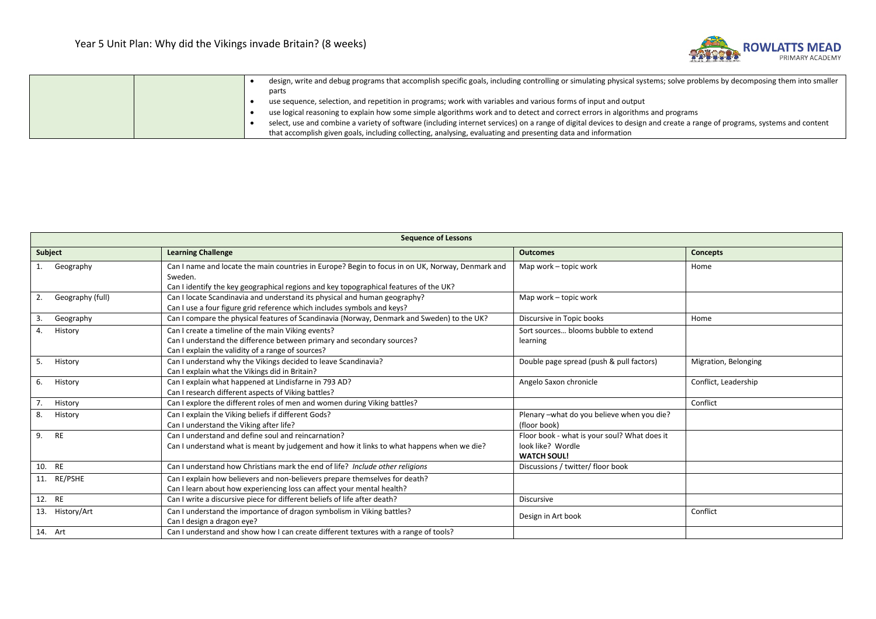

|  | design, write and debug programs that accomplish specific goals, including controlling or simulating physical systems; solve problems by decomposing them into smaller  |
|--|-------------------------------------------------------------------------------------------------------------------------------------------------------------------------|
|  | parts                                                                                                                                                                   |
|  | use sequence, selection, and repetition in programs; work with variables and various forms of input and output                                                          |
|  | use logical reasoning to explain how some simple algorithms work and to detect and correct errors in algorithms and programs                                            |
|  | select, use and combine a variety of software (including internet services) on a range of digital devices to design and create a range of programs, systems and content |
|  | that accomplish given goals, including collecting, analysing, evaluating and presenting data and information                                                            |

| <b>Sequence of Lessons</b> |                                                                                                                                                                                                      |                                                                                         |                      |  |  |
|----------------------------|------------------------------------------------------------------------------------------------------------------------------------------------------------------------------------------------------|-----------------------------------------------------------------------------------------|----------------------|--|--|
| Subject                    | <b>Learning Challenge</b>                                                                                                                                                                            | <b>Outcomes</b>                                                                         | <b>Concepts</b>      |  |  |
| Geography                  | Can I name and locate the main countries in Europe? Begin to focus in on UK, Norway, Denmark and<br>Sweden.<br>Can I identify the key geographical regions and key topographical features of the UK? | Map work - topic work                                                                   | Home                 |  |  |
| 2.<br>Geography (full)     | Can I locate Scandinavia and understand its physical and human geography?<br>Can I use a four figure grid reference which includes symbols and keys?                                                 | Map work - topic work                                                                   |                      |  |  |
| 3.<br>Geography            | Can I compare the physical features of Scandinavia (Norway, Denmark and Sweden) to the UK?                                                                                                           | Discursive in Topic books                                                               | Home                 |  |  |
| History<br>4.              | Can I create a timeline of the main Viking events?<br>Can I understand the difference between primary and secondary sources?<br>Can I explain the validity of a range of sources?                    | Sort sources blooms bubble to extend<br>learning                                        |                      |  |  |
| History<br>5.              | Can I understand why the Vikings decided to leave Scandinavia?<br>Can I explain what the Vikings did in Britain?                                                                                     | Double page spread (push & pull factors)                                                | Migration, Belonging |  |  |
| 6.<br>History              | Can I explain what happened at Lindisfarne in 793 AD?<br>Can I research different aspects of Viking battles?                                                                                         | Angelo Saxon chronicle                                                                  | Conflict, Leadership |  |  |
| 7.<br>History              | Can I explore the different roles of men and women during Viking battles?                                                                                                                            |                                                                                         | Conflict             |  |  |
| 8.<br>History              | Can I explain the Viking beliefs if different Gods?<br>Can I understand the Viking after life?                                                                                                       | Plenary - what do you believe when you die?<br>(floor book)                             |                      |  |  |
| 9. RE                      | Can Lunderstand and define soul and reincarnation?<br>Can I understand what is meant by judgement and how it links to what happens when we die?                                                      | Floor book - what is your soul? What does it<br>look like? Wordle<br><b>WATCH SOUL!</b> |                      |  |  |
| 10. RE                     | Can I understand how Christians mark the end of life? Include other religions                                                                                                                        | Discussions / twitter/ floor book                                                       |                      |  |  |
| 11. RE/PSHE                | Can I explain how believers and non-believers prepare themselves for death?<br>Can I learn about how experiencing loss can affect your mental health?                                                |                                                                                         |                      |  |  |
| 12. RE                     | Can I write a discursive piece for different beliefs of life after death?                                                                                                                            | <b>Discursive</b>                                                                       |                      |  |  |
| 13. History/Art            | Can I understand the importance of dragon symbolism in Viking battles?<br>Can I design a dragon eye?                                                                                                 | Design in Art book                                                                      | Conflict             |  |  |
| 14. Art                    | Can I understand and show how I can create different textures with a range of tools?                                                                                                                 |                                                                                         |                      |  |  |